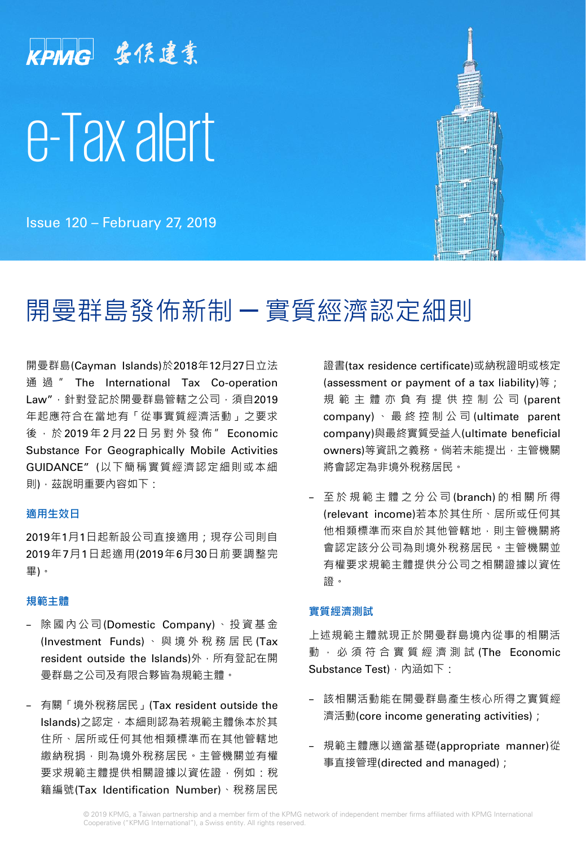# KPMG 安侯建業 e-Tax alert

Issue 120 – February 27, 2019

# 開曼群島發佈新制 ─ 實質經濟認定細則

開曼群島(Cayman Islands)於2018年12月27日立法 通 過 " The International Tax Co-operation Law", 針對登記於開曼群島管轄之公司, 須自2019 年起應符合在當地有「從事實質經濟活動」之要求 後, 於 2019年 2月 22 日 另 對 外 發 佈 " Economic Substance For Geographically Mobile Activities GUIDANCE" (以下簡稱實質經濟認定細則或本細 則),茲說明重要內容如下:

### **適用生效日**

2019年1月1日起新設公司直接適用;現存公司則自 2019年7月1日起適用(2019年6月30日前要調整完 畢)。

#### **規範主體**

- − 除國內公司(Domestic Company) 、投 資 基 金 (Investment Funds) 、 與境外稅務居民 (Tax resident outside the Islands)外,所有登記在開 曼群島之公司及有限合夥皆為規範主體。
- − 有關「境外稅務居民」(Tax resident outside the Islands)之認定,本細則認為若規範主體係本於其 住所、居所或任何其他相類標準而在其他管轄地 繳納稅捐,則為境外稅務居民。主管機關並有權 要求規範主體提供相關證據以資佐證,例如:稅 籍編號(Tax Identification Number)、稅務居民

證書(tax residence certificate)或納稅證明或核定 (assessment or payment of a tax liability)等; 規 範 主 體 亦 負 有 提 供 控 制 公 司 (parent company) 、 最 終 控 制 公 司 (ultimate parent company)與最終實質受益人(ultimate beneficial owners)等資訊之義務。倘若未能提出,主管機關 將會認定為非境外稅務居民。

− 至 於 規 範 主 體 之 分 公 司 (branch) 的 相 關 所 得 (relevant income)若本於其住所、居所或任何其 他相類標準而來自於其他管轄地,則主管機關將 會認定該分公司為則境外稅務居民。主管機關並 有權要求規範主體提供分公司之相關證據以資佐 證。

#### **實質經濟測試**

上述規範主體就現正於開曼群島境內從事的相關活 動 , 必 須 符 合 實 質 經 濟 測 試 (The Economic Substance Test), 內涵如下:

- − 該相關活動能在開曼群島產生核心所得之實質經 濟活動(core income generating activities);
- − 規範主體應以適當基礎(appropriate manner)從 事直接管理(directed and managed);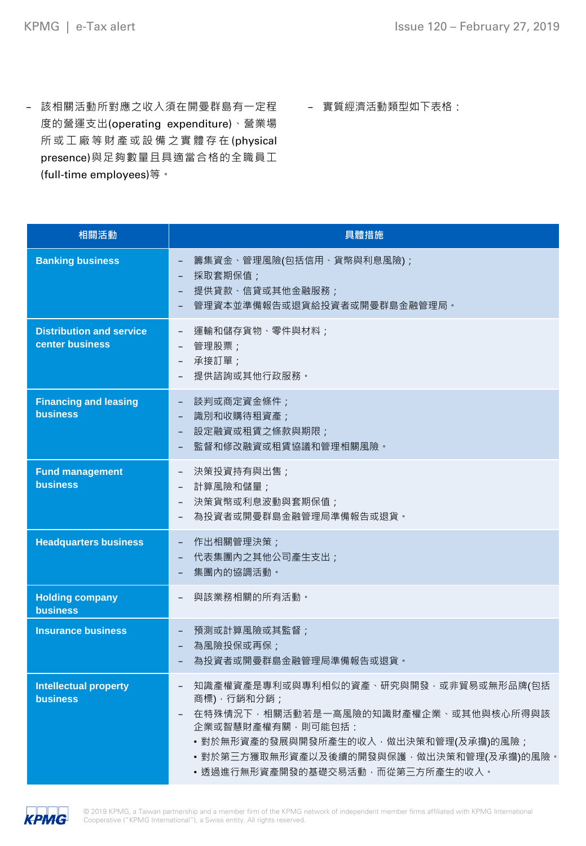- − 該相關活動所對應之收入須在開曼群島有一定程 度的營運支出(operating expenditure)、營業場 所 或 工 廠 等 財 產 或 設 備 之 實 體 存 在 (physical presence)與足夠數量且具適當合格的全職員工 (full-time employees)等。
- − 實質經濟活動類型如下表格:

| 相關活動                                               | 具體措施                                                                                                                                                                                                                                                                  |
|----------------------------------------------------|-----------------------------------------------------------------------------------------------------------------------------------------------------------------------------------------------------------------------------------------------------------------------|
| <b>Banking business</b>                            | 籌集資金、管理風險(包括信用、貨幣與利息風險);<br>採取套期保值;<br>提供貸款、信貸或其他金融服務;<br>$\overline{\phantom{0}}$<br>管理資本並準備報告或退貨給投資者或開曼群島金融管理局。                                                                                                                                                     |
| <b>Distribution and service</b><br>center business | 運輸和儲存貨物、零件與材料;<br>$\overline{a}$<br>管理股票;<br>$\overline{a}$<br>承接訂單;<br>$\qquad \qquad -$<br>提供諮詢或其他行政服務。                                                                                                                                                             |
| <b>Financing and leasing</b><br><b>business</b>    | 談判或商定資金條件;<br>識別和收購待租資產;<br>$\overline{\phantom{0}}$<br>設定融資或租賃之條款與期限;<br>$\overline{\phantom{0}}$<br>監督和修改融資或租賃協議和管理相關風險。                                                                                                                                            |
| <b>Fund management</b><br><b>business</b>          | 決策投資持有與出售;<br>$\qquad \qquad -$<br>計算風險和儲量;<br>$\overline{a}$<br>決策貨幣或利息波動與套期保值;<br>$\overline{\phantom{0}}$<br>為投資者或開曼群島金融管理局準備報告或退貨。<br>$\overline{\phantom{0}}$                                                                                                    |
| <b>Headquarters business</b>                       | 作出相關管理決策;<br>$\overline{\phantom{0}}$<br>代表集團內之其他公司產生支出;<br>集團內的協調活動。                                                                                                                                                                                                 |
| <b>Holding company</b><br><b>business</b>          | 與該業務相關的所有活動。<br>$\overline{a}$                                                                                                                                                                                                                                        |
| <b>Insurance business</b>                          | 預測或計算風險或其監督;<br>為風險投保或再保;<br>為投資者或開曼群島金融管理局準備報告或退貨。                                                                                                                                                                                                                   |
| <b>Intellectual property</b><br><b>business</b>    | 知識產權資產是專利或與專利相似的資產、研究與開發,或非貿易或無形品牌(包括<br>$\overline{\phantom{a}}$<br>商標), 行銷和分銷;<br>在特殊情況下,相關活動若是一高風險的知識財產權企業、或其他與核心所得與該<br>企業或智慧財產權有關,則可能包括:<br>• 對於無形資產的發展與開發所產生的收入, 做出決策和管理(及承擔)的風險;<br>•對於第三方獲取無形資產以及後續的開發與保護,做出決策和管理(及承擔)的風險。<br>•透過進行無形資產開發的基礎交易活動,而從第三方所產生的收入。 |

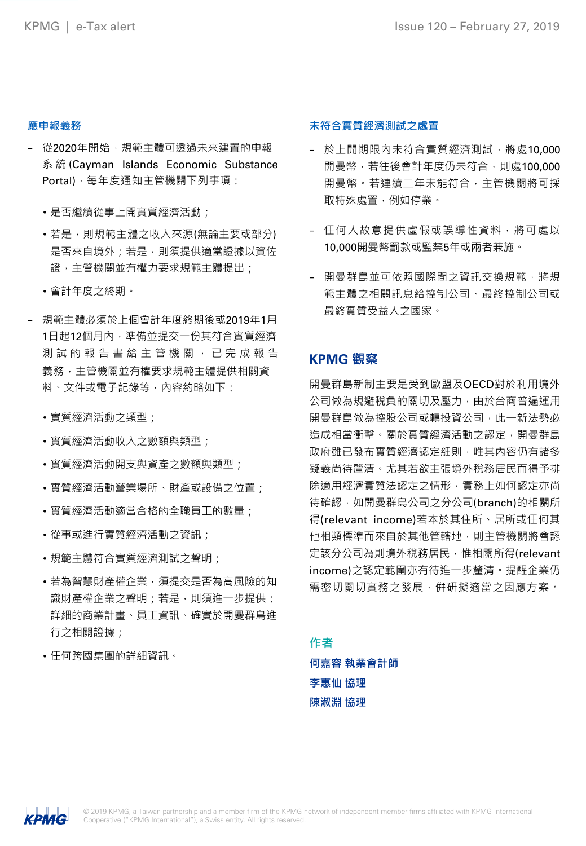#### **應申報義務**

- − 從2020年開始,規範主體可透過未來建置的申報 系 統 (Cayman Islands Economic Substance Portal),每年度通知主管機關下列事項:
	- 是否繼續從事上開實質經濟活動;
	- •若是,則規範主體之收入來源(無論主要或部分) 是否來自境外;若是,則須提供適當證據以資佐 證,主管機關並有權力要求規範主體提出;
	- 會計年度之終期。
- − 規範主體必須於上個會計年度終期後或2019年1月 1日起12個月內,準備並提交一份其符合實質經濟 测 試 的 報 告 書 給 主 管 機 關 , 已 完 成 報 告 義務,主管機關並有權要求規範主體提供相關資 料、文件或電子記錄等,內容約略如下:
	- 實質經濟活動之類型;
	- 實質經濟活動收入之數額與類型;
	- •實質經濟活動開支與資產之數額與類型;
	- 實質經濟活動營業場所、財產或設備之位置;
	- •實質經濟活動適當合格的全職員工的數量;
	- 從事或進行實質經濟活動之資訊;
	- 規範主體符合實質經濟測試之聲明;
	- 若為智慧財產權企業,須提交是否為高風險的知 識財產權企業之聲明;若是,則須進一步提供: 詳細的商業計畫、員工資訊、確實於開曼群島進 行之相關證據;
	- 任何跨國集團的詳細資訊。

### **未符合實質經濟測試之處置**

- − 於上開期限內未符合實質經濟測試,將處10,000 開曼幣,若往後會計年度仍未符合,則處100.000 開曼幣。若連續二年未能符合,主管機關將可採 取特殊處置,例如停業。
- − 任何人故意提供虛假或誤導性資料,將可處以 10,000開曼幣罰款或監禁5年或兩者兼施。
- − 開曼群島並可依照國際間之資訊交換規範,將規 範主體之相關訊息給控制公司、最終控制公司或 最終實質受益人之國家。

# **KPMG 觀察**

開曼群島新制主要是受到歐盟及OECD對於利用境外 公司做為規避稅負的關切及壓力,由於台商普遍運用 開曼群島做為控股公司或轉投資公司,此一新法勢必 造成相當衝擊。關於實質經濟活動之認定,開曼群島 政府雖已發布實質經濟認定細則,唯其內容仍有諸多 疑義尚待釐清。尤其若欲主張境外稅務居民而得予排 除適用經濟實質法認定之情形,實務上如何認定亦尚 待確認,如開曼群島公司之分公司(branch)的相關所 得(relevant income)若本於其住所、居所或任何其 他相類標準而來自於其他管轄地,則主管機關將會認 定該分公司為則境外稅務居民,惟相關所得(relevant income)之認定範圍亦有待進一步釐清。提醒企業仍 需密切關切實務之發展,併研擬適當之因應方案。

**作者**

**何嘉容 執業會計師 李惠仙 協理 陳淑淵 協理**